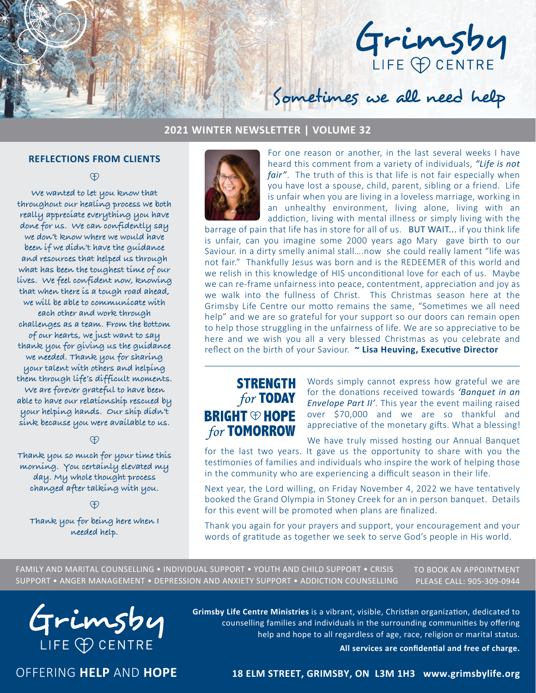

## **2021 WINTER NEWSLETTER | VOLUME 32**

#### **REFLECTIONS FROM CLIENTS**

<sup>O</sup>

**We wanted to let you know that throughout our healing process we both really appreciate everything you have done for us. We can confidently say we don't know where we would have been if we didn't have the guidance and resources that helped us through what has been the toughest time of our lives. We feel confident now, knowing that when there is a tough road ahead, we will be able to communicate with each other and work through challenges as a team. From the bottom of our hearts, we just want to say thank you for giving us the guidance we needed. Thank you for sharing your talent with others and helping them through life's difficult moments. We are forever grateful to have been able to have our relationship rescued by your helping hands. Our ship didn't sink because you were available to us.**

#### **A**

**Thank you so much for your time this morning. You certainly elevated my day. My whole thought process changed after talking with you.**

**Thank you for being here when I needed help.**



For one reason or another, in the last several weeks I have heard this comment from a variety of individuals, *"Life is not fair"*. The truth of this is that life is not fair especially when you have lost a spouse, child, parent, sibling or a friend. Life is unfair when you are living in a loveless marriage, working in an unhealthy environment, living alone, living with an addiction, living with mental illness or simply living with the

Sometimes we all need help

barrage of pain that life has in store for all of us. BUT WAIT... if you think life is unfair, can you imagine some 2000 years ago Mary gave birth to our Saviour. in a dirty smelly animal stall….now she could really lament "life was not fair." Thankfully Jesus was born and is the REDEEMER of this world and we relish in this knowledge of HIS unconditional love for each of us. Maybe we can re-frame unfairness into peace, contentment, appreciation and joy as we walk into the fullness of Christ. This Christmas season here at the Grimsby Life Centre our motto remains the same, "Sometimes we all need help" and we are so grateful for your support so our doors can remain open to help those struggling in the unfairness of life. We are so appreciative to be here and we wish you all a very blessed Christmas as you celebrate and reflect on the birth of your Saviour. **~ Lisa Heuving, Executive Director**

# **STRENGTH for TODAY BRIGHT ® HOPE for TOMORROW**

Words simply cannot express how grateful we are for the donations received towards *'Banquet in an Envelope Part II'*. This year the event mailing raised over \$70,000 and we are so thankful and appreciative of the monetary gifts. What a blessing!

We have truly missed hosting our Annual Banquet for the last two years. It gave us the opportunity to share with you the testimonies of families and individuals who inspire the work of helping those in the community who are experiencing a difficult season in their life.

Next year, the Lord willing, on Friday November 4, 2022 we have tentatively booked the Grand Olympia in Stoney Creek for an in person banquet. Details for this event will be promoted when plans are finalized.

Thank you again for your prayers and support, your encouragement and your words of gratitude as together we seek to serve God's people in His world.

FAMILY AND MARITAL COUNSELLING • INDIVIDUAL SUPPORT • YOUTH AND CHILD SUPPORT • CRISIS SUPPORT • ANGER MANAGEMENT • DEPRESSION AND ANXIETY SUPPORT • ADDICTION COUNSELLING

TO BOOK AN APPOINTMENT PLEASE CALL: 905-309-0944



**Grimsby Life Centre Ministries** is a vibrant, visible, Christian organization, dedicated to counselling families and individuals in the surrounding communities by offering help and hope to all regardless of age, race, religion or marital status.

**All services are confidential and free of charge.**

OFFERING **HELP** AND **HOPE**

### **18 ELM STREET, GRIMSBY, ON L3M 1H3 www.grimsbylife.org**